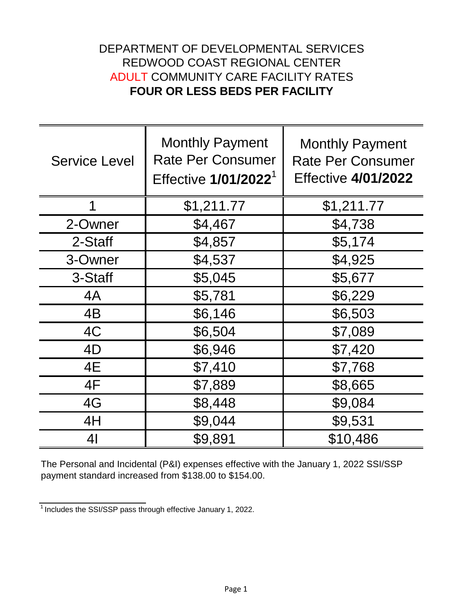## **FOUR OR LESS BEDS PER FACILITY** ADULT COMMUNITY CARE FACILITY RATES DEPARTMENT OF DEVELOPMENTAL SERVICES REDWOOD COAST REGIONAL CENTER

| <b>Service Level</b> | <b>Monthly Payment</b><br><b>Rate Per Consumer</b><br>Effective 1/01/2022 <sup>1</sup> | <b>Monthly Payment</b><br><b>Rate Per Consumer</b><br><b>Effective 4/01/2022</b> |
|----------------------|----------------------------------------------------------------------------------------|----------------------------------------------------------------------------------|
|                      | \$1,211.77                                                                             | \$1,211.77                                                                       |
| 2-Owner              | \$4,467                                                                                | \$4,738                                                                          |
| 2-Staff              | \$4,857                                                                                | \$5,174                                                                          |
| 3-Owner              | \$4,537                                                                                | \$4,925                                                                          |
| 3-Staff              | \$5,045                                                                                | \$5,677                                                                          |
| 4A                   | \$5,781                                                                                | \$6,229                                                                          |
| 4B                   | \$6,146                                                                                | \$6,503                                                                          |
| 4C                   | \$6,504                                                                                | \$7,089                                                                          |
| 4D                   | \$6,946                                                                                | \$7,420                                                                          |
| 4E                   | \$7,410                                                                                | \$7,768                                                                          |
| 4F                   | \$7,889                                                                                | \$8,665                                                                          |
| 4G                   | \$8,448                                                                                | \$9,084                                                                          |
| 4H                   | \$9,044                                                                                | \$9,531                                                                          |
| 41                   | \$9,891                                                                                | \$10,486                                                                         |

The Personal and Incidental (P&I) expenses effective with the January 1, 2022 SSI/SSP payment standard increased from \$138.00 to \$154.00.

 $\frac{1}{1}$  Includes the SSI/SSP pass through effective January 1, 2022.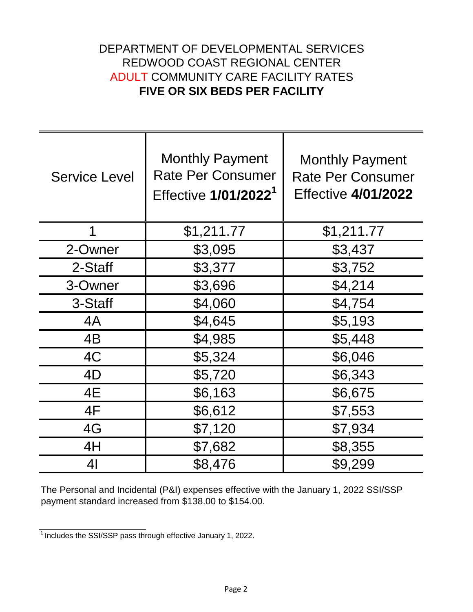## DEPARTMENT OF DEVELOPMENTAL SERVICES **FIVE OR SIX BEDS PER FACILITY** ADULT COMMUNITY CARE FACILITY RATES REDWOOD COAST REGIONAL CENTER

| <b>Service Level</b> | <b>Monthly Payment</b><br><b>Rate Per Consumer</b><br>Effective 1/01/2022 <sup>1</sup> | <b>Monthly Payment</b><br><b>Rate Per Consumer</b><br><b>Effective 4/01/2022</b> |
|----------------------|----------------------------------------------------------------------------------------|----------------------------------------------------------------------------------|
| 1                    | \$1,211.77                                                                             | \$1,211.77                                                                       |
| 2-Owner              | \$3,095                                                                                | \$3,437                                                                          |
| 2-Staff              | \$3,377                                                                                | \$3,752                                                                          |
| 3-Owner              | \$3,696                                                                                | \$4,214                                                                          |
| 3-Staff              | \$4,060                                                                                | \$4,754                                                                          |
| 4A                   | \$4,645                                                                                | \$5,193                                                                          |
| 4B                   | \$4,985                                                                                | \$5,448                                                                          |
| 4C                   | \$5,324                                                                                | \$6,046                                                                          |
| 4D                   | \$5,720                                                                                | \$6,343                                                                          |
| 4E                   | \$6,163                                                                                | \$6,675                                                                          |
| 4F                   | \$6,612                                                                                | \$7,553                                                                          |
| 4G                   | \$7,120                                                                                | \$7,934                                                                          |
| 4H                   | \$7,682                                                                                | \$8,355                                                                          |
| 41                   | \$8,476                                                                                | \$9,299                                                                          |

The Personal and Incidental (P&I) expenses effective with the January 1, 2022 SSI/SSP payment standard increased from \$138.00 to \$154.00.

 $\frac{1}{1}$  Includes the SSI/SSP pass through effective January 1, 2022.